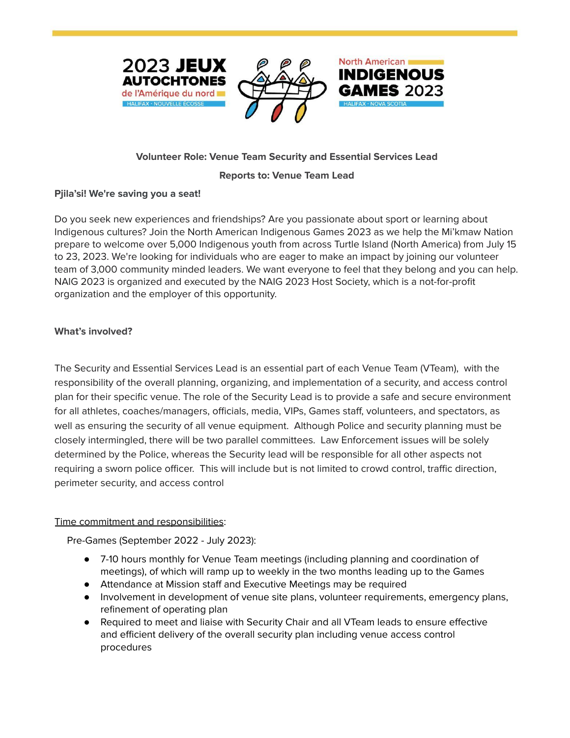





# **Volunteer Role: Venue Team Security and Essential Services Lead**

#### **Reports to: Venue Team Lead**

#### **Pjila'si! We're saving you a seat!**

Do you seek new experiences and friendships? Are you passionate about sport or learning about Indigenous cultures? Join the North American Indigenous Games 2023 as we help the Mi'kmaw Nation prepare to welcome over 5,000 Indigenous youth from across Turtle Island (North America) from July 15 to 23, 2023. We're looking for individuals who are eager to make an impact by joining our volunteer team of 3,000 community minded leaders. We want everyone to feel that they belong and you can help. NAIG 2023 is organized and executed by the NAIG 2023 Host Society, which is a not-for-profit organization and the employer of this opportunity.

## **What's involved?**

The Security and Essential Services Lead is an essential part of each Venue Team (VTeam), with the responsibility of the overall planning, organizing, and implementation of a security, and access control plan for their specific venue. The role of the Security Lead is to provide a safe and secure environment for all athletes, coaches/managers, officials, media, VIPs, Games staff, volunteers, and spectators, as well as ensuring the security of all venue equipment. Although Police and security planning must be closely intermingled, there will be two parallel committees. Law Enforcement issues will be solely determined by the Police, whereas the Security lead will be responsible for all other aspects not requiring a sworn police officer. This will include but is not limited to crowd control, traffic direction, perimeter security, and access control

#### Time commitment and responsibilities:

Pre-Games (September 2022 - July 2023):

- 7-10 hours monthly for Venue Team meetings (including planning and coordination of meetings), of which will ramp up to weekly in the two months leading up to the Games
- Attendance at Mission staff and Executive Meetings may be required
- Involvement in development of venue site plans, volunteer requirements, emergency plans, refinement of operating plan
- Required to meet and liaise with Security Chair and all VTeam leads to ensure effective and efficient delivery of the overall security plan including venue access control procedures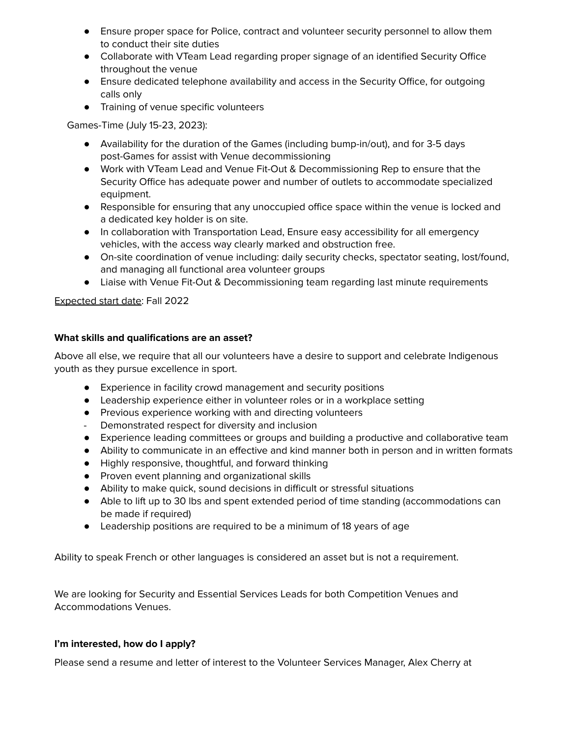- Ensure proper space for Police, contract and volunteer security personnel to allow them to conduct their site duties
- Collaborate with VTeam Lead regarding proper signage of an identified Security Office throughout the venue
- Ensure dedicated telephone availability and access in the Security Office, for outgoing calls only
- Training of venue specific volunteers

Games-Time (July 15-23, 2023):

- Availability for the duration of the Games (including bump-in/out), and for 3-5 days post-Games for assist with Venue decommissioning
- Work with VTeam Lead and Venue Fit-Out & Decommissioning Rep to ensure that the Security Office has adequate power and number of outlets to accommodate specialized equipment.
- Responsible for ensuring that any unoccupied office space within the venue is locked and a dedicated key holder is on site.
- In collaboration with Transportation Lead, Ensure easy accessibility for all emergency vehicles, with the access way clearly marked and obstruction free.
- On-site coordination of venue including: daily security checks, spectator seating, lost/found, and managing all functional area volunteer groups
- Liaise with Venue Fit-Out & Decommissioning team regarding last minute requirements

Expected start date: Fall 2022

## **What skills and qualifications are an asset?**

Above all else, we require that all our volunteers have a desire to support and celebrate Indigenous youth as they pursue excellence in sport.

- Experience in facility crowd management and security positions
- Leadership experience either in volunteer roles or in a workplace setting
- Previous experience working with and directing volunteers
- Demonstrated respect for diversity and inclusion
- Experience leading committees or groups and building a productive and collaborative team
- Ability to communicate in an effective and kind manner both in person and in written formats
- Highly responsive, thoughtful, and forward thinking
- Proven event planning and organizational skills
- Ability to make quick, sound decisions in difficult or stressful situations
- Able to lift up to 30 lbs and spent extended period of time standing (accommodations can be made if required)
- Leadership positions are required to be a minimum of 18 years of age

Ability to speak French or other languages is considered an asset but is not a requirement.

We are looking for Security and Essential Services Leads for both Competition Venues and Accommodations Venues.

## **I'm interested, how do I apply?**

Please send a resume and letter of interest to the Volunteer Services Manager, Alex Cherry at